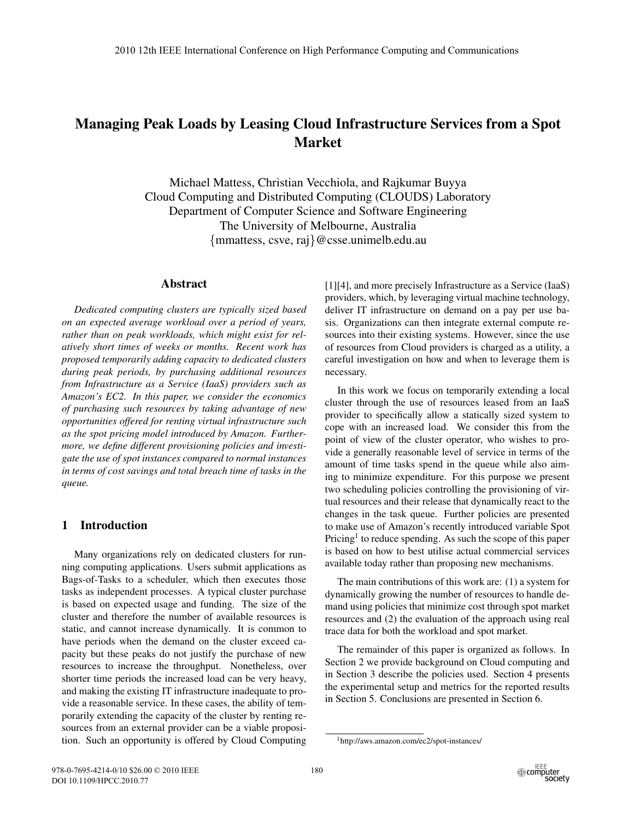# Managing Peak Loads by Leasing Cloud Infrastructure Services from a Spot Market

Michael Mattess, Christian Vecchiola, and Rajkumar Buyya Cloud Computing and Distributed Computing (CLOUDS) Laboratory Department of Computer Science and Software Engineering The University of Melbourne, Australia {mmattess, csve, raj}@csse.unimelb.edu.au

## Abstract

*Dedicated computing clusters are typically sized based on an expected average workload over a period of years, rather than on peak workloads, which might exist for relatively short times of weeks or months. Recent work has proposed temporarily adding capacity to dedicated clusters during peak periods, by purchasing additional resources from Infrastructure as a Service (IaaS) providers such as Amazon's EC2. In this paper, we consider the economics of purchasing such resources by taking advantage of new opportunities offered for renting virtual infrastructure such as the spot pricing model introduced by Amazon. Furthermore, we define different provisioning policies and investigate the use of spot instances compared to normal instances in terms of cost savings and total breach time of tasks in the queue.*

# 1 Introduction

Many organizations rely on dedicated clusters for running computing applications. Users submit applications as Bags-of-Tasks to a scheduler, which then executes those tasks as independent processes. A typical cluster purchase is based on expected usage and funding. The size of the cluster and therefore the number of available resources is static, and cannot increase dynamically. It is common to have periods when the demand on the cluster exceed capacity but these peaks do not justify the purchase of new resources to increase the throughput. Nonetheless, over shorter time periods the increased load can be very heavy, and making the existing IT infrastructure inadequate to provide a reasonable service. In these cases, the ability of temporarily extending the capacity of the cluster by renting resources from an external provider can be a viable proposition. Such an opportunity is offered by Cloud Computing [1][4], and more precisely Infrastructure as a Service (IaaS) providers, which, by leveraging virtual machine technology, deliver IT infrastructure on demand on a pay per use basis. Organizations can then integrate external compute resources into their existing systems. However, since the use of resources from Cloud providers is charged as a utility, a careful investigation on how and when to leverage them is necessary.

In this work we focus on temporarily extending a local cluster through the use of resources leased from an IaaS provider to specifically allow a statically sized system to cope with an increased load. We consider this from the point of view of the cluster operator, who wishes to provide a generally reasonable level of service in terms of the amount of time tasks spend in the queue while also aiming to minimize expenditure. For this purpose we present two scheduling policies controlling the provisioning of virtual resources and their release that dynamically react to the changes in the task queue. Further policies are presented to make use of Amazon's recently introduced variable Spot Pricing<sup>1</sup> to reduce spending. As such the scope of this paper is based on how to best utilise actual commercial services available today rather than proposing new mechanisms.

The main contributions of this work are: (1) a system for dynamically growing the number of resources to handle demand using policies that minimize cost through spot market resources and (2) the evaluation of the approach using real trace data for both the workload and spot market.

The remainder of this paper is organized as follows. In Section 2 we provide background on Cloud computing and in Section 3 describe the policies used. Section 4 presents the experimental setup and metrics for the reported results in Section 5. Conclusions are presented in Section 6.

<sup>1</sup>http://aws.amazon.com/ec2/spot-instances/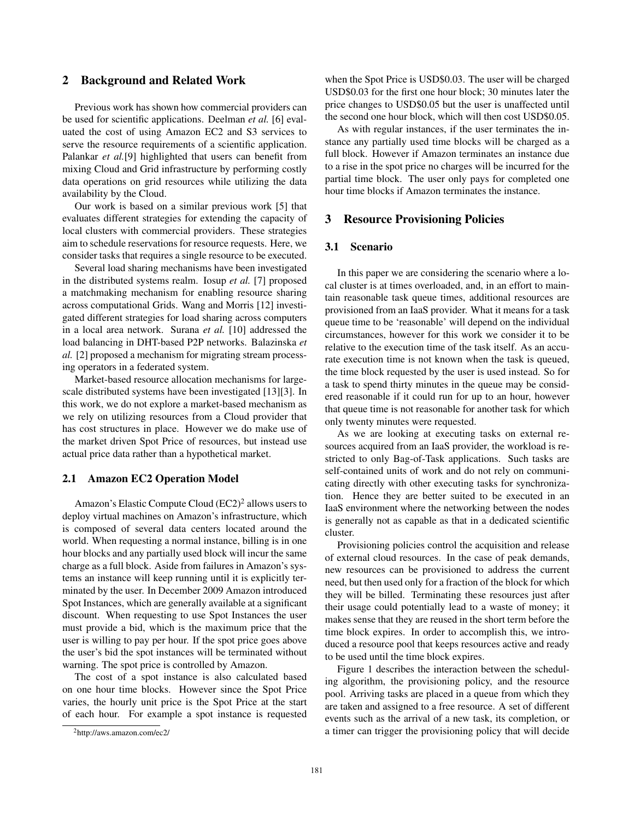## 2 Background and Related Work

Previous work has shown how commercial providers can be used for scientific applications. Deelman *et al.* [6] evaluated the cost of using Amazon EC2 and S3 services to serve the resource requirements of a scientific application. Palankar *et al.*[9] highlighted that users can benefit from mixing Cloud and Grid infrastructure by performing costly data operations on grid resources while utilizing the data availability by the Cloud.

Our work is based on a similar previous work [5] that evaluates different strategies for extending the capacity of local clusters with commercial providers. These strategies aim to schedule reservations for resource requests. Here, we consider tasks that requires a single resource to be executed.

Several load sharing mechanisms have been investigated in the distributed systems realm. Iosup *et al.* [7] proposed a matchmaking mechanism for enabling resource sharing across computational Grids. Wang and Morris [12] investigated different strategies for load sharing across computers in a local area network. Surana *et al.* [10] addressed the load balancing in DHT-based P2P networks. Balazinska *et al.* [2] proposed a mechanism for migrating stream processing operators in a federated system.

Market-based resource allocation mechanisms for largescale distributed systems have been investigated [13][3]. In this work, we do not explore a market-based mechanism as we rely on utilizing resources from a Cloud provider that has cost structures in place. However we do make use of the market driven Spot Price of resources, but instead use actual price data rather than a hypothetical market.

# 2.1 Amazon EC2 Operation Model

Amazon's Elastic Compute Cloud  $(EC2)^2$  allows users to deploy virtual machines on Amazon's infrastructure, which is composed of several data centers located around the world. When requesting a normal instance, billing is in one hour blocks and any partially used block will incur the same charge as a full block. Aside from failures in Amazon's systems an instance will keep running until it is explicitly terminated by the user. In December 2009 Amazon introduced Spot Instances, which are generally available at a significant discount. When requesting to use Spot Instances the user must provide a bid, which is the maximum price that the user is willing to pay per hour. If the spot price goes above the user's bid the spot instances will be terminated without warning. The spot price is controlled by Amazon.

The cost of a spot instance is also calculated based on one hour time blocks. However since the Spot Price varies, the hourly unit price is the Spot Price at the start of each hour. For example a spot instance is requested when the Spot Price is USD\$0.03. The user will be charged USD\$0.03 for the first one hour block; 30 minutes later the price changes to USD\$0.05 but the user is unaffected until the second one hour block, which will then cost USD\$0.05.

As with regular instances, if the user terminates the instance any partially used time blocks will be charged as a full block. However if Amazon terminates an instance due to a rise in the spot price no charges will be incurred for the partial time block. The user only pays for completed one hour time blocks if Amazon terminates the instance.

## 3 Resource Provisioning Policies

#### 3.1 Scenario

In this paper we are considering the scenario where a local cluster is at times overloaded, and, in an effort to maintain reasonable task queue times, additional resources are provisioned from an IaaS provider. What it means for a task queue time to be 'reasonable' will depend on the individual circumstances, however for this work we consider it to be relative to the execution time of the task itself. As an accurate execution time is not known when the task is queued, the time block requested by the user is used instead. So for a task to spend thirty minutes in the queue may be considered reasonable if it could run for up to an hour, however that queue time is not reasonable for another task for which only twenty minutes were requested.

As we are looking at executing tasks on external resources acquired from an IaaS provider, the workload is restricted to only Bag-of-Task applications. Such tasks are self-contained units of work and do not rely on communicating directly with other executing tasks for synchronization. Hence they are better suited to be executed in an IaaS environment where the networking between the nodes is generally not as capable as that in a dedicated scientific cluster.

Provisioning policies control the acquisition and release of external cloud resources. In the case of peak demands, new resources can be provisioned to address the current need, but then used only for a fraction of the block for which they will be billed. Terminating these resources just after their usage could potentially lead to a waste of money; it makes sense that they are reused in the short term before the time block expires. In order to accomplish this, we introduced a resource pool that keeps resources active and ready to be used until the time block expires.

Figure 1 describes the interaction between the scheduling algorithm, the provisioning policy, and the resource pool. Arriving tasks are placed in a queue from which they are taken and assigned to a free resource. A set of different events such as the arrival of a new task, its completion, or a timer can trigger the provisioning policy that will decide

<sup>2</sup>http://aws.amazon.com/ec2/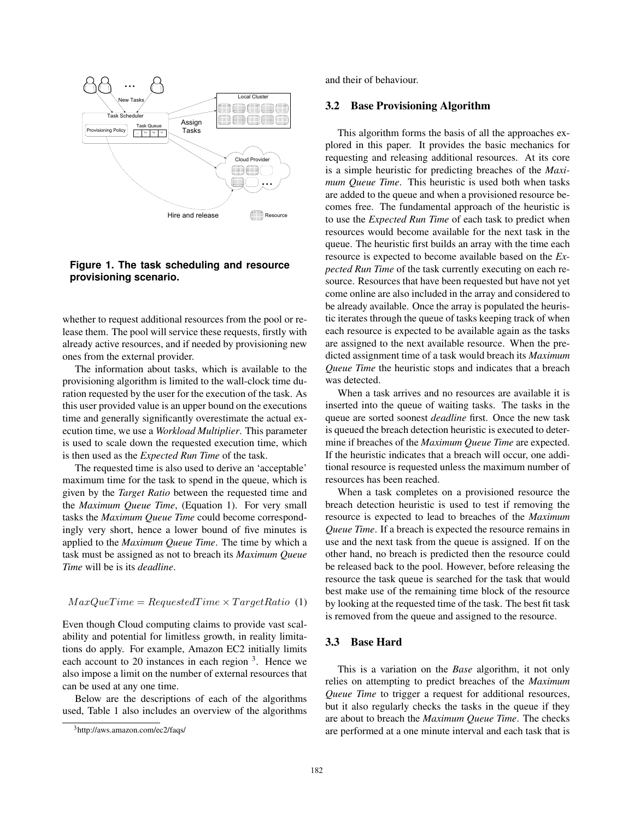

## **Figure 1. The task scheduling and resource provisioning scenario.**

whether to request additional resources from the pool or release them. The pool will service these requests, firstly with already active resources, and if needed by provisioning new ones from the external provider.

The information about tasks, which is available to the provisioning algorithm is limited to the wall-clock time duration requested by the user for the execution of the task. As this user provided value is an upper bound on the executions time and generally significantly overestimate the actual execution time, we use a *Workload Multiplier*. This parameter is used to scale down the requested execution time, which is then used as the *Expected Run Time* of the task.

The requested time is also used to derive an 'acceptable' maximum time for the task to spend in the queue, which is given by the *Target Ratio* between the requested time and the *Maximum Queue Time*, (Equation 1). For very small tasks the *Maximum Queue Time* could become correspondingly very short, hence a lower bound of five minutes is applied to the *Maximum Queue Time*. The time by which a task must be assigned as not to breach its *Maximum Queue Time* will be is its *deadline*.

#### $MaxQueueTime = RequiredTime \times TargetRatio$  (1)

Even though Cloud computing claims to provide vast scalability and potential for limitless growth, in reality limitations do apply. For example, Amazon EC2 initially limits each account to 20 instances in each region <sup>3</sup>. Hence we also impose a limit on the number of external resources that can be used at any one time.

Below are the descriptions of each of the algorithms used, Table 1 also includes an overview of the algorithms and their of behaviour.

#### 3.2 Base Provisioning Algorithm

This algorithm forms the basis of all the approaches explored in this paper. It provides the basic mechanics for requesting and releasing additional resources. At its core is a simple heuristic for predicting breaches of the *Maximum Queue Time*. This heuristic is used both when tasks are added to the queue and when a provisioned resource becomes free. The fundamental approach of the heuristic is to use the *Expected Run Time* of each task to predict when resources would become available for the next task in the queue. The heuristic first builds an array with the time each resource is expected to become available based on the *Expected Run Time* of the task currently executing on each resource. Resources that have been requested but have not yet come online are also included in the array and considered to be already available. Once the array is populated the heuristic iterates through the queue of tasks keeping track of when each resource is expected to be available again as the tasks are assigned to the next available resource. When the predicted assignment time of a task would breach its *Maximum Queue Time* the heuristic stops and indicates that a breach was detected.

When a task arrives and no resources are available it is inserted into the queue of waiting tasks. The tasks in the queue are sorted soonest *deadline* first. Once the new task is queued the breach detection heuristic is executed to determine if breaches of the *Maximum Queue Time* are expected. If the heuristic indicates that a breach will occur, one additional resource is requested unless the maximum number of resources has been reached.

When a task completes on a provisioned resource the breach detection heuristic is used to test if removing the resource is expected to lead to breaches of the *Maximum Queue Time*. If a breach is expected the resource remains in use and the next task from the queue is assigned. If on the other hand, no breach is predicted then the resource could be released back to the pool. However, before releasing the resource the task queue is searched for the task that would best make use of the remaining time block of the resource by looking at the requested time of the task. The best fit task is removed from the queue and assigned to the resource.

## 3.3 Base Hard

This is a variation on the *Base* algorithm, it not only relies on attempting to predict breaches of the *Maximum Queue Time* to trigger a request for additional resources, but it also regularly checks the tasks in the queue if they are about to breach the *Maximum Queue Time*. The checks are performed at a one minute interval and each task that is

<sup>3</sup>http://aws.amazon.com/ec2/faqs/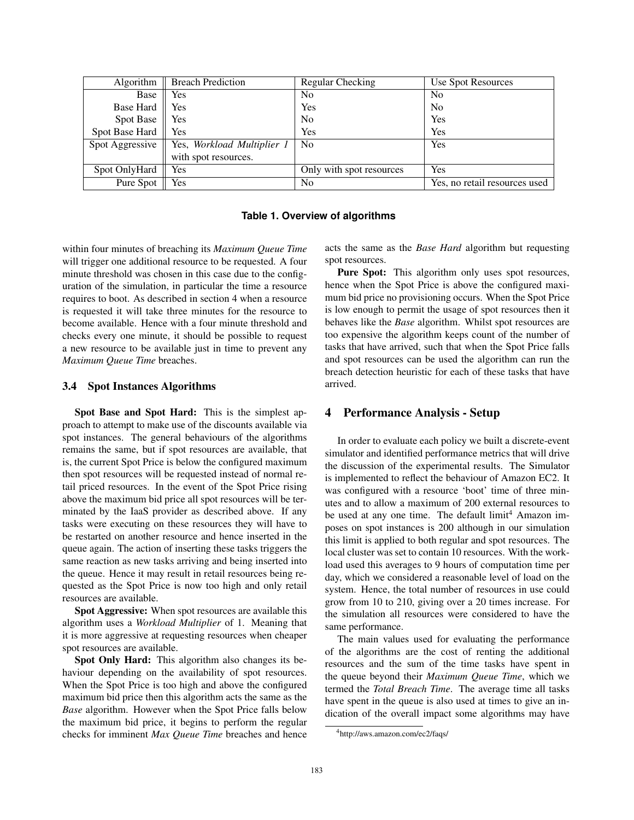| Algorithm       | <b>Breach Prediction</b>   | Regular Checking         | Use Spot Resources            |
|-----------------|----------------------------|--------------------------|-------------------------------|
| Base            | Yes                        | N <sub>0</sub>           | N <sub>0</sub>                |
| Base Hard       | Yes                        | Yes                      | N <sub>0</sub>                |
| Spot Base       | Yes                        | N <sub>0</sub>           | Yes                           |
| Spot Base Hard  | Yes                        | Yes                      | Yes                           |
| Spot Aggressive | Yes, Workload Multiplier 1 | N <sub>0</sub>           | Yes                           |
|                 | with spot resources.       |                          |                               |
| Spot OnlyHard   | Yes                        | Only with spot resources | Yes                           |
| Pure Spot       | Yes                        | No                       | Yes, no retail resources used |

#### **Table 1. Overview of algorithms**

within four minutes of breaching its *Maximum Queue Time* will trigger one additional resource to be requested. A four minute threshold was chosen in this case due to the configuration of the simulation, in particular the time a resource requires to boot. As described in section 4 when a resource is requested it will take three minutes for the resource to become available. Hence with a four minute threshold and checks every one minute, it should be possible to request a new resource to be available just in time to prevent any *Maximum Queue Time* breaches.

### 3.4 Spot Instances Algorithms

Spot Base and Spot Hard: This is the simplest approach to attempt to make use of the discounts available via spot instances. The general behaviours of the algorithms remains the same, but if spot resources are available, that is, the current Spot Price is below the configured maximum then spot resources will be requested instead of normal retail priced resources. In the event of the Spot Price rising above the maximum bid price all spot resources will be terminated by the IaaS provider as described above. If any tasks were executing on these resources they will have to be restarted on another resource and hence inserted in the queue again. The action of inserting these tasks triggers the same reaction as new tasks arriving and being inserted into the queue. Hence it may result in retail resources being requested as the Spot Price is now too high and only retail resources are available.

Spot Aggressive: When spot resources are available this algorithm uses a *Workload Multiplier* of 1. Meaning that it is more aggressive at requesting resources when cheaper spot resources are available.

Spot Only Hard: This algorithm also changes its behaviour depending on the availability of spot resources. When the Spot Price is too high and above the configured maximum bid price then this algorithm acts the same as the *Base* algorithm. However when the Spot Price falls below the maximum bid price, it begins to perform the regular checks for imminent *Max Queue Time* breaches and hence acts the same as the *Base Hard* algorithm but requesting spot resources.

Pure Spot: This algorithm only uses spot resources, hence when the Spot Price is above the configured maximum bid price no provisioning occurs. When the Spot Price is low enough to permit the usage of spot resources then it behaves like the *Base* algorithm. Whilst spot resources are too expensive the algorithm keeps count of the number of tasks that have arrived, such that when the Spot Price falls and spot resources can be used the algorithm can run the breach detection heuristic for each of these tasks that have arrived.

#### 4 Performance Analysis - Setup

In order to evaluate each policy we built a discrete-event simulator and identified performance metrics that will drive the discussion of the experimental results. The Simulator is implemented to reflect the behaviour of Amazon EC2. It was configured with a resource 'boot' time of three minutes and to allow a maximum of 200 external resources to be used at any one time. The default limit<sup>4</sup> Amazon imposes on spot instances is 200 although in our simulation this limit is applied to both regular and spot resources. The local cluster was set to contain 10 resources. With the workload used this averages to 9 hours of computation time per day, which we considered a reasonable level of load on the system. Hence, the total number of resources in use could grow from 10 to 210, giving over a 20 times increase. For the simulation all resources were considered to have the same performance.

The main values used for evaluating the performance of the algorithms are the cost of renting the additional resources and the sum of the time tasks have spent in the queue beyond their *Maximum Queue Time*, which we termed the *Total Breach Time*. The average time all tasks have spent in the queue is also used at times to give an indication of the overall impact some algorithms may have

<sup>4</sup>http://aws.amazon.com/ec2/faqs/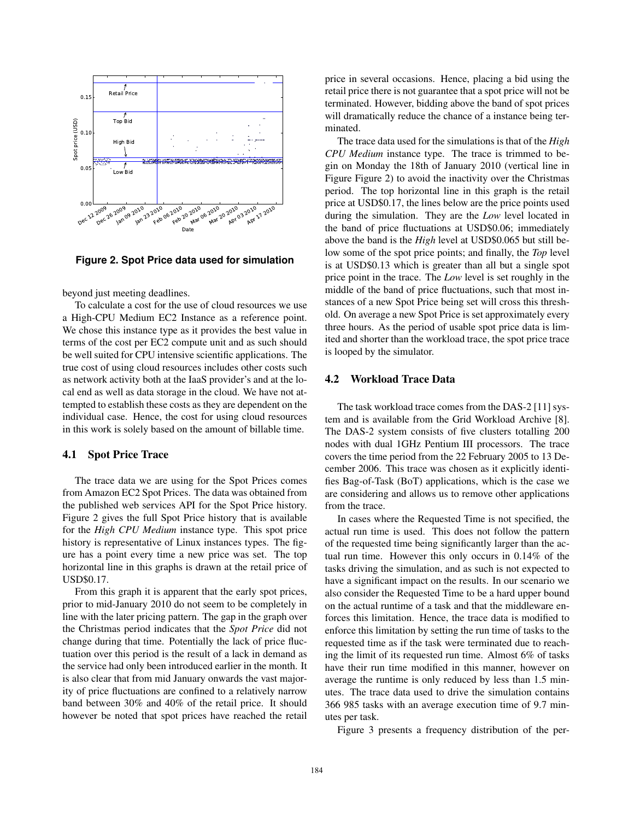

**Figure 2. Spot Price data used for simulation**

beyond just meeting deadlines.

To calculate a cost for the use of cloud resources we use a High-CPU Medium EC2 Instance as a reference point. We chose this instance type as it provides the best value in terms of the cost per EC2 compute unit and as such should be well suited for CPU intensive scientific applications. The true cost of using cloud resources includes other costs such as network activity both at the IaaS provider's and at the local end as well as data storage in the cloud. We have not attempted to establish these costs as they are dependent on the individual case. Hence, the cost for using cloud resources in this work is solely based on the amount of billable time.

#### 4.1 Spot Price Trace

The trace data we are using for the Spot Prices comes from Amazon EC2 Spot Prices. The data was obtained from the published web services API for the Spot Price history. Figure 2 gives the full Spot Price history that is available for the *High CPU Medium* instance type. This spot price history is representative of Linux instances types. The figure has a point every time a new price was set. The top horizontal line in this graphs is drawn at the retail price of USD\$0.17.

From this graph it is apparent that the early spot prices, prior to mid-January 2010 do not seem to be completely in line with the later pricing pattern. The gap in the graph over the Christmas period indicates that the *Spot Price* did not change during that time. Potentially the lack of price fluctuation over this period is the result of a lack in demand as the service had only been introduced earlier in the month. It is also clear that from mid January onwards the vast majority of price fluctuations are confined to a relatively narrow band between 30% and 40% of the retail price. It should however be noted that spot prices have reached the retail price in several occasions. Hence, placing a bid using the retail price there is not guarantee that a spot price will not be terminated. However, bidding above the band of spot prices will dramatically reduce the chance of a instance being terminated.

The trace data used for the simulations is that of the *High CPU Medium* instance type. The trace is trimmed to begin on Monday the 18th of January 2010 (vertical line in Figure Figure 2) to avoid the inactivity over the Christmas period. The top horizontal line in this graph is the retail price at USD\$0.17, the lines below are the price points used during the simulation. They are the *Low* level located in the band of price fluctuations at USD\$0.06; immediately above the band is the *High* level at USD\$0.065 but still below some of the spot price points; and finally, the *Top* level is at USD\$0.13 which is greater than all but a single spot price point in the trace. The *Low* level is set roughly in the middle of the band of price fluctuations, such that most instances of a new Spot Price being set will cross this threshold. On average a new Spot Price is set approximately every three hours. As the period of usable spot price data is limited and shorter than the workload trace, the spot price trace is looped by the simulator.

#### 4.2 Workload Trace Data

The task workload trace comes from the DAS-2 [11] system and is available from the Grid Workload Archive [8]. The DAS-2 system consists of five clusters totalling 200 nodes with dual 1GHz Pentium III processors. The trace covers the time period from the 22 February 2005 to 13 December 2006. This trace was chosen as it explicitly identifies Bag-of-Task (BoT) applications, which is the case we are considering and allows us to remove other applications from the trace.

In cases where the Requested Time is not specified, the actual run time is used. This does not follow the pattern of the requested time being significantly larger than the actual run time. However this only occurs in 0.14% of the tasks driving the simulation, and as such is not expected to have a significant impact on the results. In our scenario we also consider the Requested Time to be a hard upper bound on the actual runtime of a task and that the middleware enforces this limitation. Hence, the trace data is modified to enforce this limitation by setting the run time of tasks to the requested time as if the task were terminated due to reaching the limit of its requested run time. Almost 6% of tasks have their run time modified in this manner, however on average the runtime is only reduced by less than 1.5 minutes. The trace data used to drive the simulation contains 366 985 tasks with an average execution time of 9.7 minutes per task.

Figure 3 presents a frequency distribution of the per-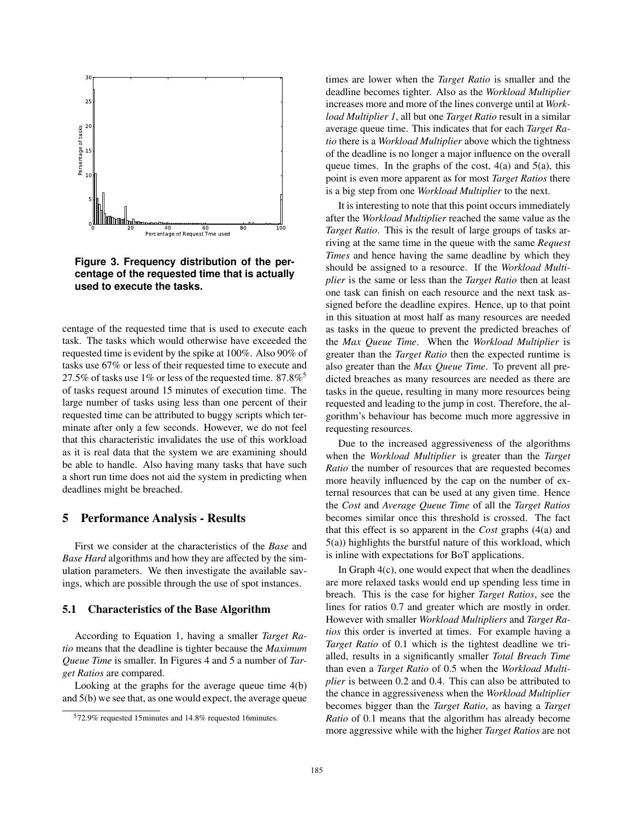

**Figure 3. Frequency distribution of the percentage of the requested time that is actually used to execute the tasks.**

centage of the requested time that is used to execute each task. The tasks which would otherwise have exceeded the requested time is evident by the spike at 100%. Also 90% of tasks use 67% or less of their requested time to execute and 27.5% of tasks use 1% or less of the requested time.  $87.8\%$ <sup>5</sup> of tasks request around 15 minutes of execution time. The large number of tasks using less than one percent of their requested time can be attributed to buggy scripts which terminate after only a few seconds. However, we do not feel that this characteristic invalidates the use of this workload as it is real data that the system we are examining should be able to handle. Also having many tasks that have such a short run time does not aid the system in predicting when deadlines might be breached.

# 5 Performance Analysis - Results

First we consider at the characteristics of the *Base* and *Base Hard* algorithms and how they are affected by the simulation parameters. We then investigate the available savings, which are possible through the use of spot instances.

#### 5.1 Characteristics of the Base Algorithm

According to Equation 1, having a smaller *Target Ratio* means that the deadline is tighter because the *Maximum Queue Time* is smaller. In Figures 4 and 5 a number of *Target Ratios* are compared.

Looking at the graphs for the average queue time 4(b) and 5(b) we see that, as one would expect, the average queue times are lower when the *Target Ratio* is smaller and the deadline becomes tighter. Also as the *Workload Multiplier* increases more and more of the lines converge until at *Workload Multiplier 1*, all but one *Target Ratio* result in a similar average queue time. This indicates that for each *Target Ratio* there is a *Workload Multiplier* above which the tightness of the deadline is no longer a major influence on the overall queue times. In the graphs of the cost,  $4(a)$  and  $5(a)$ , this point is even more apparent as for most *Target Ratios* there is a big step from one *Workload Multiplier* to the next.

It is interesting to note that this point occurs immediately after the *Workload Multiplier* reached the same value as the *Target Ratio*. This is the result of large groups of tasks arriving at the same time in the queue with the same *Request Times* and hence having the same deadline by which they should be assigned to a resource. If the *Workload Multiplier* is the same or less than the *Target Ratio* then at least one task can finish on each resource and the next task assigned before the deadline expires. Hence, up to that point in this situation at most half as many resources are needed as tasks in the queue to prevent the predicted breaches of the *Max Queue Time*. When the *Workload Multiplier* is greater than the *Target Ratio* then the expected runtime is also greater than the *Max Queue Time*. To prevent all predicted breaches as many resources are needed as there are tasks in the queue, resulting in many more resources being requested and leading to the jump in cost. Therefore, the algorithm's behaviour has become much more aggressive in requesting resources.

Due to the increased aggressiveness of the algorithms when the *Workload Multiplier* is greater than the *Target Ratio* the number of resources that are requested becomes more heavily influenced by the cap on the number of external resources that can be used at any given time. Hence the *Cost* and *Average Queue Time* of all the *Target Ratios* becomes similar once this threshold is crossed. The fact that this effect is so apparent in the *Cost* graphs (4(a) and 5(a)) highlights the burstful nature of this workload, which is inline with expectations for BoT applications.

In Graph  $4(c)$ , one would expect that when the deadlines are more relaxed tasks would end up spending less time in breach. This is the case for higher *Target Ratios*, see the lines for ratios 0.7 and greater which are mostly in order. However with smaller *Workload Multipliers* and *Target Ratios* this order is inverted at times. For example having a *Target Ratio* of 0.1 which is the tightest deadline we trialled, results in a significantly smaller *Total Breach Time* than even a *Target Ratio* of 0.5 when the *Workload Multiplier* is between 0.2 and 0.4. This can also be attributed to the chance in aggressiveness when the *Workload Multiplier* becomes bigger than the *Target Ratio*, as having a *Target Ratio* of 0.1 means that the algorithm has already become more aggressive while with the higher *Target Ratios* are not

<sup>5</sup>72.9% requested 15minutes and 14.8% requested 16minutes.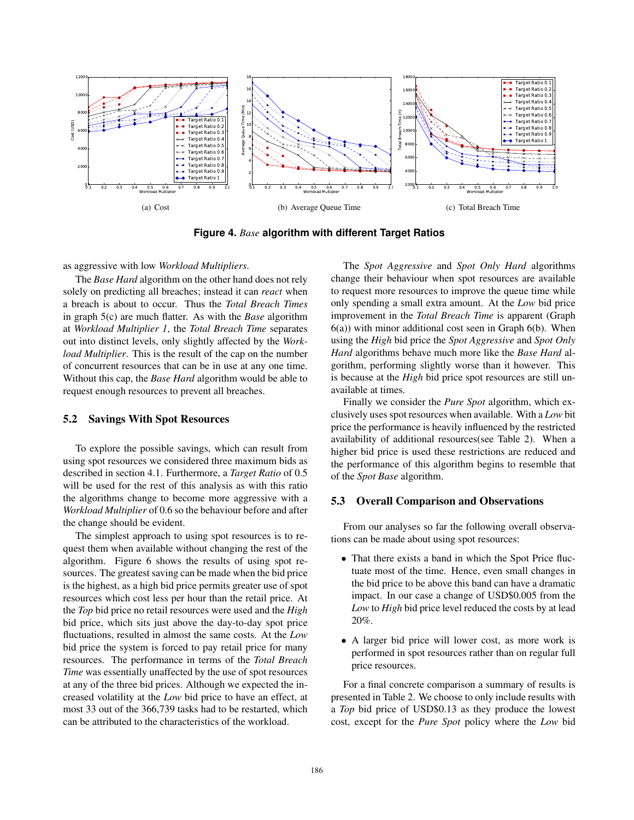

**Figure 4.** *Base* **algorithm with different Target Ratios**

as aggressive with low *Workload Multipliers*.

The *Base Hard* algorithm on the other hand does not rely solely on predicting all breaches; instead it can *react* when a breach is about to occur. Thus the *Total Breach Times* in graph 5(c) are much flatter. As with the *Base* algorithm at *Workload Multiplier 1*, the *Total Breach Time* separates out into distinct levels, only slightly affected by the *Workload Multiplier*. This is the result of the cap on the number of concurrent resources that can be in use at any one time. Without this cap, the *Base Hard* algorithm would be able to request enough resources to prevent all breaches.

#### 5.2 Savings With Spot Resources

To explore the possible savings, which can result from using spot resources we considered three maximum bids as described in section 4.1. Furthermore, a *Target Ratio* of 0.5 will be used for the rest of this analysis as with this ratio the algorithms change to become more aggressive with a *Workload Multiplier* of 0.6 so the behaviour before and after the change should be evident.

The simplest approach to using spot resources is to request them when available without changing the rest of the algorithm. Figure 6 shows the results of using spot resources. The greatest saving can be made when the bid price is the highest, as a high bid price permits greater use of spot resources which cost less per hour than the retail price. At the *Top* bid price no retail resources were used and the *High* bid price, which sits just above the day-to-day spot price fluctuations, resulted in almost the same costs. At the *Low* bid price the system is forced to pay retail price for many resources. The performance in terms of the *Total Breach Time* was essentially unaffected by the use of spot resources at any of the three bid prices. Although we expected the increased volatility at the *Low* bid price to have an effect, at most 33 out of the 366,739 tasks had to be restarted, which can be attributed to the characteristics of the workload.

The *Spot Aggressive* and *Spot Only Hard* algorithms change their behaviour when spot resources are available to request more resources to improve the queue time while only spending a small extra amount. At the *Low* bid price improvement in the *Total Breach Time* is apparent (Graph  $6(a)$ ) with minor additional cost seen in Graph  $6(b)$ . When using the *High* bid price the *Spot Aggressive* and *Spot Only Hard* algorithms behave much more like the *Base Hard* algorithm, performing slightly worse than it however. This is because at the *High* bid price spot resources are still unavailable at times.

Finally we consider the *Pure Spot* algorithm, which exclusively uses spot resources when available. With a *Low* bit price the performance is heavily influenced by the restricted availability of additional resources(see Table 2). When a higher bid price is used these restrictions are reduced and the performance of this algorithm begins to resemble that of the *Spot Base* algorithm.

## 5.3 Overall Comparison and Observations

From our analyses so far the following overall observations can be made about using spot resources:

- That there exists a band in which the Spot Price fluctuate most of the time. Hence, even small changes in the bid price to be above this band can have a dramatic impact. In our case a change of USD\$0.005 from the *Low* to *High* bid price level reduced the costs by at lead 20%.
- A larger bid price will lower cost, as more work is performed in spot resources rather than on regular full price resources.

For a final concrete comparison a summary of results is presented in Table 2. We choose to only include results with a *Top* bid price of USD\$0.13 as they produce the lowest cost, except for the *Pure Spot* policy where the *Low* bid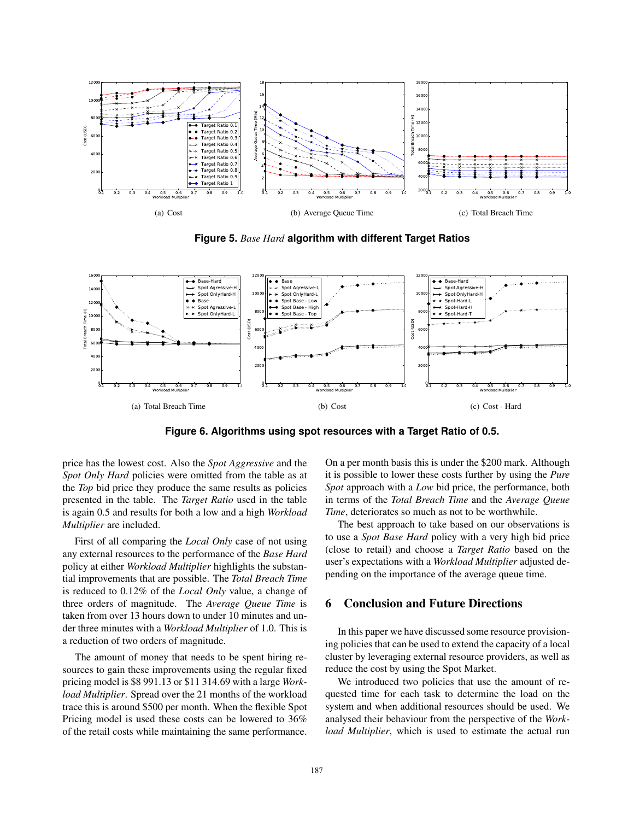

**Figure 5.** *Base Hard* **algorithm with different Target Ratios**



**Figure 6. Algorithms using spot resources with a Target Ratio of 0.5.**

price has the lowest cost. Also the *Spot Aggressive* and the *Spot Only Hard* policies were omitted from the table as at the *Top* bid price they produce the same results as policies presented in the table. The *Target Ratio* used in the table is again 0.5 and results for both a low and a high *Workload Multiplier* are included.

First of all comparing the *Local Only* case of not using any external resources to the performance of the *Base Hard* policy at either *Workload Multiplier* highlights the substantial improvements that are possible. The *Total Breach Time* is reduced to 0.12% of the *Local Only* value, a change of three orders of magnitude. The *Average Queue Time* is taken from over 13 hours down to under 10 minutes and under three minutes with a *Workload Multiplier* of 1.0. This is a reduction of two orders of magnitude.

The amount of money that needs to be spent hiring resources to gain these improvements using the regular fixed pricing model is \$8 991.13 or \$11 314.69 with a large *Workload Multiplier*. Spread over the 21 months of the workload trace this is around \$500 per month. When the flexible Spot Pricing model is used these costs can be lowered to 36% of the retail costs while maintaining the same performance. On a per month basis this is under the \$200 mark. Although it is possible to lower these costs further by using the *Pure Spot* approach with a *Low* bid price, the performance, both in terms of the *Total Breach Time* and the *Average Queue Time*, deteriorates so much as not to be worthwhile.

The best approach to take based on our observations is to use a *Spot Base Hard* policy with a very high bid price (close to retail) and choose a *Target Ratio* based on the user's expectations with a *Workload Multiplier* adjusted depending on the importance of the average queue time.

# 6 Conclusion and Future Directions

In this paper we have discussed some resource provisioning policies that can be used to extend the capacity of a local cluster by leveraging external resource providers, as well as reduce the cost by using the Spot Market.

We introduced two policies that use the amount of requested time for each task to determine the load on the system and when additional resources should be used. We analysed their behaviour from the perspective of the *Workload Multiplier*, which is used to estimate the actual run